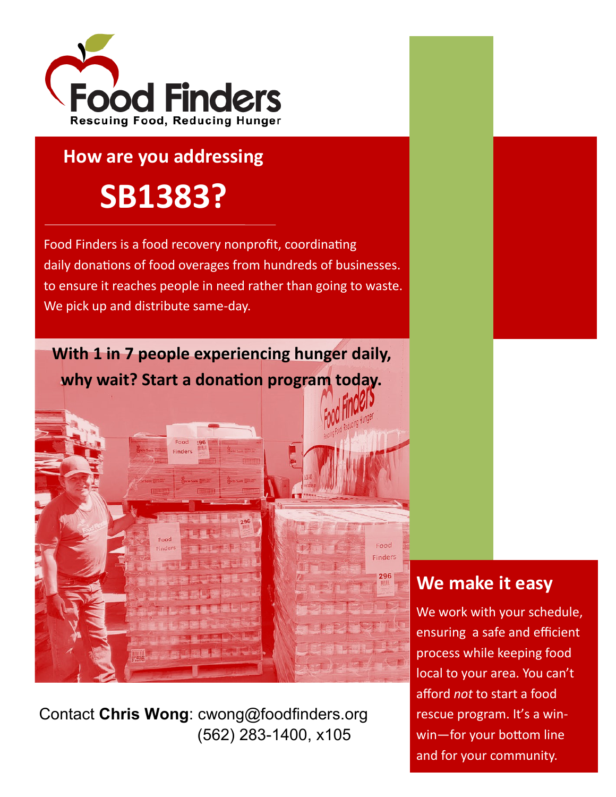

### **How are you addressing**

# **SB1383?**

Food Finders is a food recovery nonprofit, coordinating daily donations of food overages from hundreds of businesses. to ensure it reaches people in need rather than going to waste. We pick up and distribute same-day.

**With 1 in 7 people experiencing hunger daily, why wait? Start a donation program today.**

Finder

# **We make it easy**

Food Finders 296

> We work with your schedule, ensuring a safe and efficient process while keeping food local to your area. You can't afford *not* to start a food rescue program. It's a winwin—for your bottom line and for your community.

Contact **Chris Wong**: cwong@foodfinders.org (562) 283-1400, x105